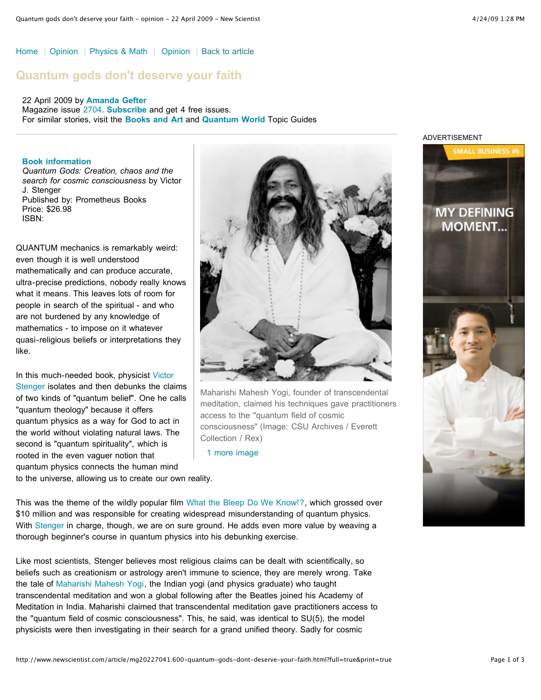[Home](http://www.newscientist.com/) | [Opinion](http://www.newscientist.com/section/opinion) | [Physics & Math](http://www.newscientist.com/section/physics-math) | [Opinion](http://www.newscientist.com/article/%20%20%20%20%20%20%20%20%20%20%20%20%20%20%20%20%20%20%20%20%20%20%20%20%20%20%20%20%20%20%20%20%20%20%20%20/section/opinion%20%20%20%20%20%20%20%20%20%20%20%20%20%20%20%20%20%20%20%20%20%20%20%20%20%20%20%20%20%20%20%20%20%20%20%20%20%20%20%20%20%20%20%20) | [Back to article](http://www.newscientist.com/article/mg20227041.600-quantum-gods-dont-deserve-your-faith.html)

# **Quantum gods don't deserve your faith**

22 April 2009 by **[Amanda Gefter](http://www.newscientist.com/search?rbauthors=Amanda+Gefter)** Magazine issue [2704](http://www.newscientist.com/issue/2704). **[Subscribe](http://www.newscientist.com/subscribe?promcode=nsarttop)** and get 4 free issues. For similar stories, visit the **[Books and Art](http://www.newscientist.com/topic/books-art)** and **[Quantum World](http://www.newscientist.com/topic/quantum-world)** Topic Guides

## **Book information**

*Quantum Gods: Creation, chaos and the search for cosmic consciousness* by Victor J. Stenger Published by: Prometheus Books Price: \$26.98 ISBN:

QUANTUM mechanics is remarkably weird: even though it is well understood mathematically and can produce accurate, ultra-precise predictions, nobody really knows what it means. This leaves lots of room for people in search of the spiritual - and who are not burdened by any knowledge of mathematics - to impose on it whatever quasi-religious beliefs or interpretations they like.

In this much-needed book, physicist Victor [Stenger isolates and then debunks the cla](http://www.colorado.edu/philosophy/vstenger/)ims of two kinds of "quantum belief". One he calls "quantum theology" because it offers quantum physics as a way for God to act in the world without violating natural laws. The second is "quantum spirituality", which is rooted in the even vaguer notion that quantum physics connects the human mind to the universe, allowing us to create our own reality.



Maharishi Mahesh Yogi, founder of transcendental meditation, claimed his techniques gave practitioners access to the "quantum field of cosmic consciousness" (Image: CSU Archives / Everett Collection / Rex)

[1 more image](http://www.newscientist.com/articleimages/mg20227041.600/1-quantum-gods-dont-deserve-your-faith.html)

This was the theme of the wildly popular film [What the Bleep Do We Know!?,](http://www.whatthebleep.com/) which grossed over \$10 million and was responsible for creating widespread misunderstanding of quantum physics. With [Stenger](http://www.newscientist.com/article/mg19125581.800-review-something-from-nothing.html) in charge, though, we are on sure ground. He adds even more value by weaving a thorough beginner's course in quantum physics into his debunking exercise.

Like most scientists, Stenger believes most religious claims can be dealt with scientifically, so beliefs such as creationism or astrology aren't immune to science, they are merely wrong. Take the tale of [Maharishi Mahesh Yogi](http://www.alltm.org/Maharishi/Maharishi_year1.html), the Indian yogi (and physics graduate) who taught transcendental meditation and won a global following after the Beatles joined his Academy of Meditation in India. Maharishi claimed that transcendental meditation gave practitioners access to the "quantum field of cosmic consciousness". This, he said, was identical to SU(5), the model physicists were then investigating in their search for a grand unified theory. Sadly for cosmic

#### ADVERTISEMENT

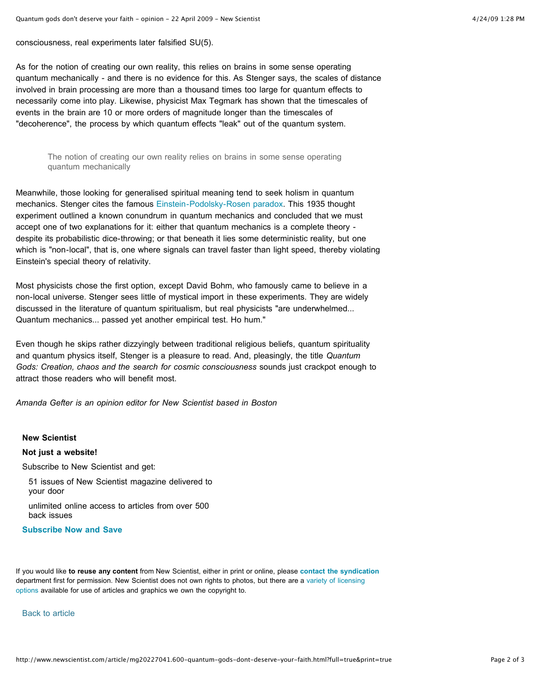consciousness, real experiments later falsified SU(5).

As for the notion of creating our own reality, this relies on brains in some sense operating quantum mechanically - and there is no evidence for this. As Stenger says, the scales of distance involved in brain processing are more than a thousand times too large for quantum effects to necessarily come into play. Likewise, physicist Max Tegmark has shown that the timescales of events in the brain are 10 or more orders of magnitude longer than the timescales of "decoherence", the process by which quantum effects "leak" out of the quantum system.

The notion of creating our own reality relies on brains in some sense operating quantum mechanically

Meanwhile, those looking for generalised spiritual meaning tend to seek holism in quantum mechanics. Stenger cites the famous [Einstein-Podolsky-Rosen paradox](http://prola.aps.org/abstract/PR/v47/i10/p777_1). This 1935 thought experiment outlined a known conundrum in quantum mechanics and concluded that we must accept one of two explanations for it: either that quantum mechanics is a complete theory despite its probabilistic dice-throwing; or that beneath it lies some deterministic reality, but one which is "non-local", that is, one where signals can travel faster than light speed, thereby violating Einstein's special theory of relativity.

Most physicists chose the first option, except David Bohm, who famously came to believe in a non-local universe. Stenger sees little of mystical import in these experiments. They are widely discussed in the literature of quantum spiritualism, but real physicists "are underwhelmed... Quantum mechanics... passed yet another empirical test. Ho hum."

Even though he skips rather dizzyingly between traditional religious beliefs, quantum spirituality and quantum physics itself, Stenger is a pleasure to read. And, pleasingly, the title *Quantum Gods: Creation, chaos and the search for cosmic consciousness* sounds just crackpot enough to attract those readers who will benefit most.

*Amanda Gefter is an opinion editor for New Scientist based in Boston*

## **New Scientist**

#### **Not just a website!**

Subscribe to New Scientist and get:

51 issues of New Scientist magazine delivered to your door

unlimited online access to articles from over 500 back issues

### **[Subscribe Now and Save](http://www.newscientist.com/subscribe?promcode=nsartcovertestd)**

If you would like **to reuse any content** from New Scientist, either in print or online, please **[contact the syndication](http://www.newscientist.com/contact/syndication?titleOrURL=http://www.newscientist.com/article/mg20227041.600)** [department first for permission. New Scientist does not own rights to photos, but there are a variety of licensing](http://www.newscientist.com/info/in216?full=true) options available for use of articles and graphics we own the copyright to.

[Back to article](http://www.newscientist.com/article/mg20227041.600-quantum-gods-dont-deserve-your-faith.html)